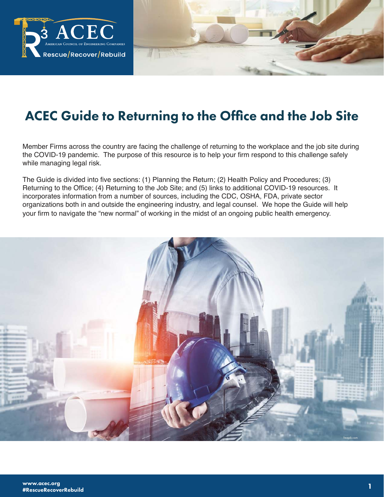

# ACEC Guide to Returning to the Office and the Job Site

Member Firms across the country are facing the challenge of returning to the workplace and the job site during the COVID-19 pandemic. The purpose of this resource is to help your firm respond to this challenge safely while managing legal risk.

The Guide is divided into five sections: (1) Planning the Return; (2) Health Policy and Procedures; (3) Returning to the Office; (4) Returning to the Job Site; and (5) links to additional COVID-19 resources. It incorporates information from a number of sources, including the CDC, OSHA, FDA, private sector organizations both in and outside the engineering industry, and legal counsel. We hope the Guide will help your firm to navigate the "new normal" of working in the midst of an ongoing public health emergency.

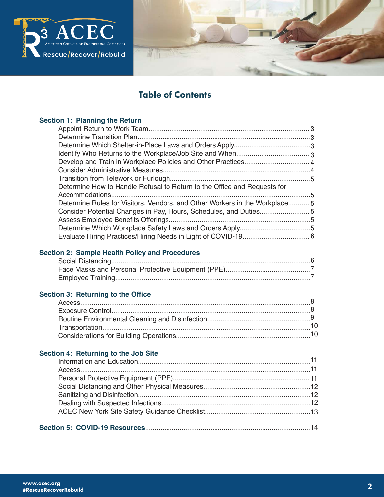

# Table of Contents

### **Section 1: Planning the Return**

| Determine How to Handle Refusal to Return to the Office and Requests for    |  |
|-----------------------------------------------------------------------------|--|
|                                                                             |  |
| Determine Rules for Visitors, Vendors, and Other Workers in the Workplace 5 |  |
|                                                                             |  |
|                                                                             |  |
|                                                                             |  |
|                                                                             |  |
|                                                                             |  |

# **Section 2: Sample Health Policy and Procedures**

# **Section 3: Returning to the Office**

# **Section 4: Returning to the Job Site**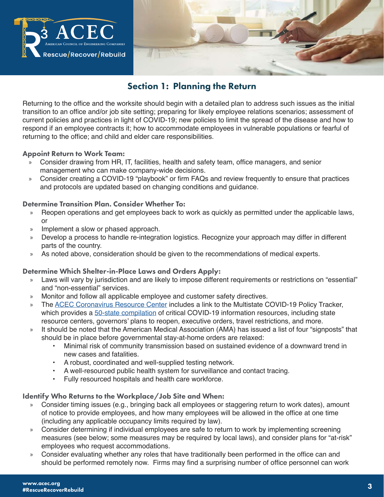

# Section 1: Planning the Return

Returning to the office and the worksite should begin with a detailed plan to address such issues as the initial transition to an office and/or job site setting; preparing for likely employee relations scenarios; assessment of current policies and practices in light of COVID-19; new policies to limit the spread of the disease and how to respond if an employee contracts it; how to accommodate employees in vulnerable populations or fearful of returning to the office; and child and elder care responsibilities.

### Appoint Return to Work Team:

- » Consider drawing from HR, IT, facilities, health and safety team, office managers, and senior management who can make company-wide decisions.
- » Consider creating a COVID-19 "playbook" or firm FAQs and review frequently to ensure that practices and protocols are updated based on changing conditions and guidance.

### Determine Transition Plan. Consider Whether To:

- » Reopen operations and get employees back to work as quickly as permitted under the applicable laws, or
- » Implement a slow or phased approach.
- » Develop a process to handle re-integration logistics. Recognize your approach may differ in different parts of the country.
- » As noted above, consideration should be given to the recommendations of medical experts.

### Determine Which Shelter-in-Place Laws and Orders Apply:

- » Laws will vary by jurisdiction and are likely to impose different requirements or restrictions on "essential" and "non-essential" services.
- » Monitor and follow all applicable employee and customer safety directives.
- » The ACEC Coronavirus Resource Center includes a link to the Multistate COVID-19 Policy Tracker, which provides a 50-state compilation of critical COVID-19 information resources, including state resource centers, governors' plans to reopen, executive orders, travel restrictions, and more.
- It should be noted that the American Medical Association (AMA) has issued a list of four "signposts" that should be in place before governmental stay-at-home orders are relaxed:
	- Minimal risk of community transmission based on sustained evidence of a downward trend in new cases and fatalities.
	- A robust, coordinated and well-supplied testing network.
	- A well-resourced public health system for surveillance and contact tracing.
	- Fully resourced hospitals and health care workforce.

### Identify Who Returns to the Workplace/Job Site and When:

- » Consider timing issues (e.g., bringing back all employees or staggering return to work dates), amount of notice to provide employees, and how many employees will be allowed in the office at one time (including any applicable occupancy limits required by law).
- » Consider determining if individual employees are safe to return to work by implementing screening measures (see below; some measures may be required by local laws), and consider plans for "at-risk" employees who request accommodations.
- » Consider evaluating whether any roles that have traditionally been performed in the office can and should be performed remotely now. Firms may find a surprising number of office personnel can work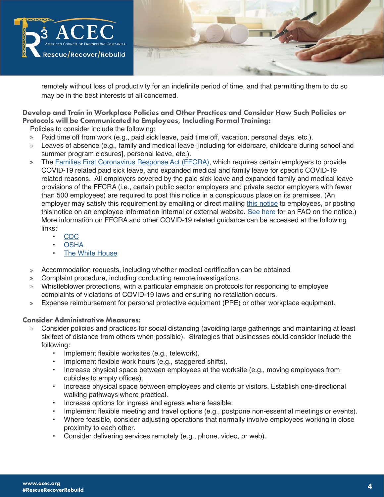

remotely without loss of productivity for an indefinite period of time, and that permitting them to do so may be in the best interests of all concerned.

# Develop and Train in Workplace Policies and Other Practices and Consider How Such Policies or Protocols will be Communicated to Employees, Including Formal Training:

Policies to consider include the following:

- » Paid time off from work (e.g., paid sick leave, paid time off, vacation, personal days, etc.).
- » Leaves of absence (e.g., family and medical leave [including for eldercare, childcare during school and summer program closures], personal leave, etc.).
- » The Families First Coronavirus Response Act (FFCRA), which requires certain employers to provide COVID-19 related paid sick leave, and expanded medical and family leave for specific COVID-19 related reasons. All employers covered by the paid sick leave and expanded family and medical leave provisions of the FFCRA (i.e., certain public sector employers and private sector employers with fewer than 500 employees) are required to post this notice in a conspicuous place on its premises. (An employer may satisfy this requirement by emailing or direct mailing this notice to employees, or posting this notice on an employee information internal or external website. See here for an FAQ on the notice.) More information on FFCRA and other COVID-19 related guidance can be accessed at the following links:
	- CDC
	- **OSHA**
	- The White House
- » Accommodation requests, including whether medical certification can be obtained.
- » Complaint procedure, including conducting remote investigations.
- » Whistleblower protections, with a particular emphasis on protocols for responding to employee complaints of violations of COVID-19 laws and ensuring no retaliation occurs.
- » Expense reimbursement for personal protective equipment (PPE) or other workplace equipment.

### Consider Administrative Measures:

- » Consider policies and practices for social distancing (avoiding large gatherings and maintaining at least six feet of distance from others when possible). Strategies that businesses could consider include the following:
	- Implement flexible worksites (e.g., telework).
	- Implement flexible work hours (e.g., staggered shifts).
	- Increase physical space between employees at the worksite (e.g., moving employees from cubicles to empty offices).
	- Increase physical space between employees and clients or visitors. Establish one-directional walking pathways where practical.
	- Increase options for ingress and egress where feasible.
	- Implement flexible meeting and travel options (e.g., postpone non-essential meetings or events).
	- Where feasible, consider adjusting operations that normally involve employees working in close proximity to each other.
	- Consider delivering services remotely (e.g., phone, video, or web).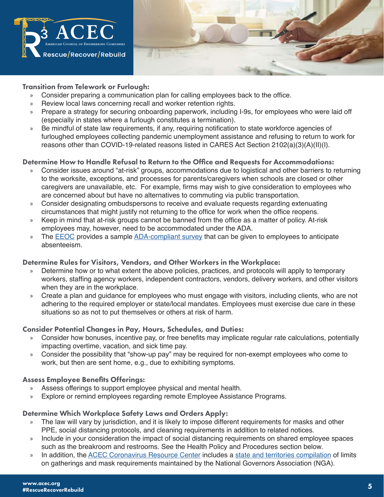

### Transition from Telework or Furlough:

- » Consider preparing a communication plan for calling employees back to the office.
- » Review local laws concerning recall and worker retention rights.
- » Prepare a strategy for securing onboarding paperwork, including I-9s, for employees who were laid off (especially in states where a furlough constitutes a termination).
- » Be mindful of state law requirements, if any, requiring notification to state workforce agencies of furloughed employees collecting pandemic unemployment assistance and refusing to return to work for reasons other than COVID-19-related reasons listed in CARES Act Section 2102(a)(3)(A)(II)(I).

### Determine How to Handle Refusal to Return to the Office and Requests for Accommodations:

- » Consider issues around "at-risk" groups, accommodations due to logistical and other barriers to returning to the worksite, exceptions, and processes for parents/caregivers when schools are closed or other caregivers are unavailable, etc. For example, firms may wish to give consideration to employees who are concerned about but have no alternatives to commuting via public transportation.
- » Consider designating ombudspersons to receive and evaluate requests regarding extenuating circumstances that might justify not returning to the office for work when the office reopens.
- » Keep in mind that at-risk groups cannot be banned from the office as a matter of policy. At-risk employees may, however, need to be accommodated under the ADA.
- » The EEOC provides a sample ADA-compliant survey that can be given to employees to anticipate absenteeism.

### Determine Rules for Visitors, Vendors, and Other Workers in the Workplace:

- » Determine how or to what extent the above policies, practices, and protocols will apply to temporary workers, staffing agency workers, independent contractors, vendors, delivery workers, and other visitors when they are in the workplace.
- » Create a plan and guidance for employees who must engage with visitors, including clients, who are not adhering to the required employer or state/local mandates. Employees must exercise due care in these situations so as not to put themselves or others at risk of harm.

### Consider Potential Changes in Pay, Hours, Schedules, and Duties:

- » Consider how bonuses, incentive pay, or free benefits may implicate regular rate calculations, potentially impacting overtime, vacation, and sick time pay.
- » Consider the possibility that "show-up pay" may be required for non-exempt employees who come to work, but then are sent home, e.g., due to exhibiting symptoms.

### Assess Employee Benefits Offerings:

- » Assess offerings to support employee physical and mental health.
- » Explore or remind employees regarding remote Employee Assistance Programs.

### Determine Which Workplace Safety Laws and Orders Apply:

- » The law will vary by jurisdiction, and it is likely to impose different requirements for masks and other PPE, social distancing protocols, and cleaning requirements in addition to related notices.
- » Include in your consideration the impact of social distancing requirements on shared employee spaces such as the breakroom and restrooms. See the Health Policy and Procedures section below.
- In addition, the **ACEC Coronavirus Resource Center** includes a state and territories compilation of limits on gatherings and mask requirements maintained by the National Governors Association (NGA).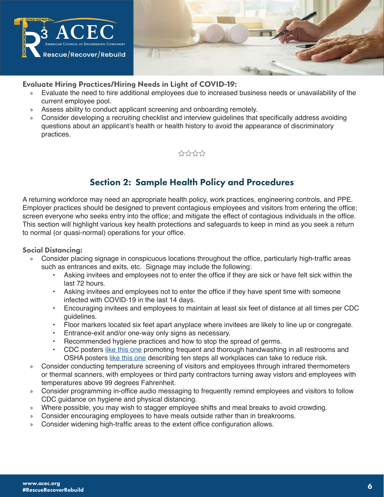

### **Evaluate Hiring Practices/Hiring Needs in Light of COVID-19:**

- » Evaluate the need to hire additional employees due to increased business needs or unavailability of the current employee pool.
- » Assess ability to conduct applicant screening and onboarding remotely.
- » Consider developing a recruiting checklist and interview guidelines that specifically address avoiding questions about an applicant's health or health history to avoid the appearance of discriminatory practices.



# Section 2: Sample Health Policy and Procedures

A returning workforce may need an appropriate health policy, work practices, engineering controls, and PPE. Employer practices should be designed to prevent contagious employees and visitors from entering the office; screen everyone who seeks entry into the office; and mitigate the effect of contagious individuals in the office. This section will highlight various key health protections and safeguards to keep in mind as you seek a return to normal (or quasi-normal) operations for your office.

### Social Distancing:

- » Consider placing signage in conspicuous locations throughout the office, particularly high-traffic areas such as entrances and exits, etc. Signage may include the following:
	- Asking invitees and employees not to enter the office if they are sick or have felt sick within the last 72 hours.
	- Asking invitees and employees not to enter the office if they have spent time with someone infected with COVID-19 in the last 14 days.
	- Encouraging invitees and employees to maintain at least six feet of distance at all times per CDC guidelines.
	- Floor markers located six feet apart anyplace where invitees are likely to line up or congregate.
	- Entrance-exit and/or one-way only signs as necessary.
	- Recommended hygiene practices and how to stop the spread of germs.
	- CDC posters like this one promoting frequent and thorough handwashing in all restrooms and OSHA posters like this one describing ten steps all workplaces can take to reduce risk.
- » Consider conducting temperature screening of visitors and employees through infrared thermometers or thermal scanners, with employees or third party contractors turning away vistors and employees with temperatures above 99 degrees Fahrenheit.
- » Consider programming in-office audio messaging to frequently remind employees and visitors to follow CDC guidance on hygiene and physical distancing.
- » Where possible, you may wish to stagger employee shifts and meal breaks to avoid crowding.
- » Consider encouraging employees to have meals outside rather than in breakrooms.
- » Consider widening high-traffic areas to the extent office configuration allows.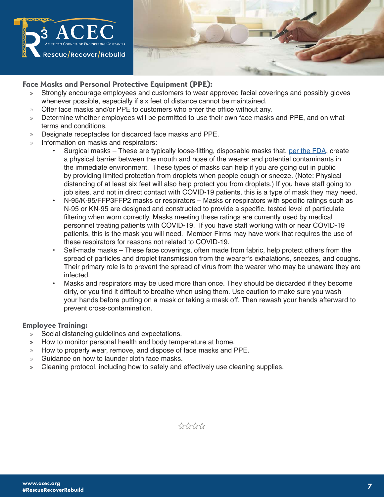

### **Face Masks and Personal Protective Equipment (PPE):**

- » Strongly encourage employees and customers to wear approved facial coverings and possibly gloves whenever possible, especially if six feet of distance cannot be maintained.
- » Offer face masks and/or PPE to customers who enter the office without any.
- » Determine whether employees will be permitted to use their own face masks and PPE, and on what terms and conditions.
- » Designate receptacles for discarded face masks and PPE.
- » Information on masks and respirators:
	- Surgical masks These are typically loose-fitting, disposable masks that, per the FDA, create a physical barrier between the mouth and nose of the wearer and potential contaminants in the immediate environment. These types of masks can help if you are going out in public by providing limited protection from droplets when people cough or sneeze. (Note: Physical distancing of at least six feet will also help protect you from droplets.) If you have staff going to job sites, and not in direct contact with COVID-19 patients, this is a type of mask they may need.
	- N-95/K-95/FFP3FFP2 masks or respirators Masks or respirators with specific ratings such as N-95 or KN-95 are designed and constructed to provide a specific, tested level of particulate filtering when worn correctly. Masks meeting these ratings are currently used by medical personnel treating patients with COVID-19. If you have staff working with or near COVID-19 patients, this is the mask you will need. Member Firms may have work that requires the use of these respirators for reasons not related to COVID-19.
	- Self-made masks These face coverings, often made from fabric, help protect others from the spread of particles and droplet transmission from the wearer's exhalations, sneezes, and coughs. Their primary role is to prevent the spread of virus from the wearer who may be unaware they are infected.
	- Masks and respirators may be used more than once. They should be discarded if they become dirty, or you find it difficult to breathe when using them. Use caution to make sure you wash your hands before putting on a mask or taking a mask off. Then rewash your hands afterward to prevent cross-contamination.

### Employee Training:

- » Social distancing guidelines and expectations.
- » How to monitor personal health and body temperature at home.
- » How to properly wear, remove, and dispose of face masks and PPE.
- » Guidance on how to launder cloth face masks.
- » Cleaning protocol, including how to safely and effectively use cleaning supplies.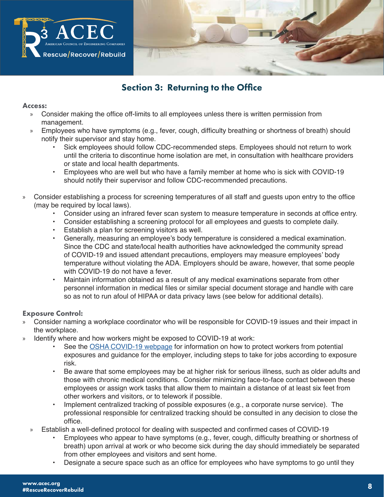

# Section 3: Returning to the Office

### Access:

- » Consider making the office off-limits to all employees unless there is written permission from management.
- » Employees who have symptoms (e.g., fever, cough, difficulty breathing or shortness of breath) should notify their supervisor and stay home.
	- Sick employees should follow CDC-recommended steps. Employees should not return to work until the criteria to discontinue home isolation are met, in consultation with healthcare providers or state and local health departments.
	- Employees who are well but who have a family member at home who is sick with COVID-19 should notify their supervisor and follow CDC-recommended precautions.
- » Consider establishing a process for screening temperatures of all staff and guests upon entry to the office (may be required by local laws).
	- Consider using an infrared fever scan system to measure temperature in seconds at office entry.
	- Consider establishing a screening protocol for all employees and guests to complete daily.
	- Establish a plan for screening visitors as well.
	- Generally, measuring an employee's body temperature is considered a medical examination. Since the CDC and state/local health authorities have acknowledged the community spread of COVID-19 and issued attendant precautions, employers may measure employees' body temperature without violating the ADA. Employers should be aware, however, that some people with COVID-19 do not have a fever.
	- Maintain information obtained as a result of any medical examinations separate from other personnel information in medical files or similar special document storage and handle with care so as not to run afoul of HIPAA or data privacy laws (see below for additional details).

### Exposure Control:

- » Consider naming a workplace coordinator who will be responsible for COVID-19 issues and their impact in the workplace.
- » Identify where and how workers might be exposed to COVID-19 at work:
	- See the OSHA COVID-19 webpage for information on how to protect workers from potential exposures and guidance for the employer, including steps to take for jobs according to exposure risk.
	- Be aware that some employees may be at higher risk for serious illness, such as older adults and those with chronic medical conditions. Consider minimizing face-to-face contact between these employees or assign work tasks that allow them to maintain a distance of at least six feet from other workers and visitors, or to telework if possible.
	- Implement centralized tracking of possible exposures (e.g., a corporate nurse service). The professional responsible for centralized tracking should be consulted in any decision to close the office.
	- » Establish a well-defined protocol for dealing with suspected and confirmed cases of COVID-19
		- Employees who appear to have symptoms (e.g., fever, cough, difficulty breathing or shortness of breath) upon arrival at work or who become sick during the day should immediately be separated from other employees and visitors and sent home.
		- Designate a secure space such as an office for employees who have symptoms to go until they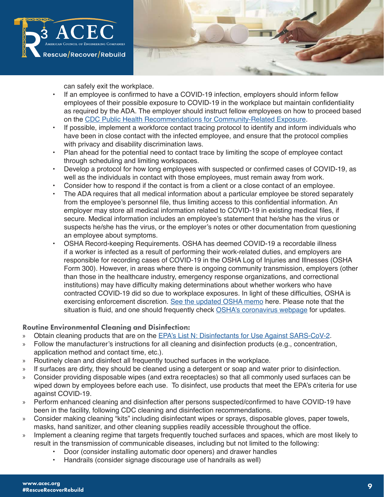



can safely exit the workplace.

- If an employee is confirmed to have a COVID-19 infection, employers should inform fellow employees of their possible exposure to COVID-19 in the workplace but maintain confidentiality as required by the ADA. The employer should instruct fellow employees on how to proceed based on the CDC Public Health Recommendations for Community-Related Exposure.
- If possible, implement a workforce contact tracing protocol to identify and inform individuals who have been in close contact with the infected employee, and ensure that the protocol complies with privacy and disability discrimination laws.
- Plan ahead for the potential need to contact trace by limiting the scope of employee contact through scheduling and limiting workspaces.
- Develop a protocol for how long employees with suspected or confirmed cases of COVID-19, as well as the individuals in contact with those employees, must remain away from work.
- Consider how to respond if the contact is from a client or a close contact of an employee.
- The ADA requires that all medical information about a particular employee be stored separately from the employee's personnel file, thus limiting access to this confidential information. An employer may store all medical information related to COVID-19 in existing medical files, if secure. Medical information includes an employee's statement that he/she has the virus or suspects he/she has the virus, or the employer's notes or other documentation from questioning an employee about symptoms.
- OSHA Record-keeping Requirements. OSHA has deemed COVID-19 a recordable illness if a worker is infected as a result of performing their work-related duties, and employers are responsible for recording cases of COVID-19 in the OSHA Log of Injuries and Illnesses (OSHA Form 300). However, in areas where there is ongoing community transmission, employers (other than those in the healthcare industry, emergency response organizations, and correctional institutions) may have difficulty making determinations about whether workers who have contracted COVID-19 did so due to workplace exposures. In light of these difficulties, OSHA is exercising enforcement discretion. See the updated OSHA memo here. Please note that the situation is fluid, and one should frequently check OSHA's coronavirus webpage for updates.

### Routine Environmental Cleaning and Disinfection:

- » Obtain cleaning products that are on the EPA's List N: Disinfectants for Use Against SARS-CoV-2.
- » Follow the manufacturer's instructions for all cleaning and disinfection products (e.g., concentration, application method and contact time, etc.).
- » Routinely clean and disinfect all frequently touched surfaces in the workplace.
- » If surfaces are dirty, they should be cleaned using a detergent or soap and water prior to disinfection.
- » Consider providing disposable wipes (and extra receptacles) so that all commonly used surfaces can be wiped down by employees before each use. To disinfect, use products that meet the EPA's criteria for use against COVID-19.
- » Perform enhanced cleaning and disinfection after persons suspected/confirmed to have COVID-19 have been in the facility, following CDC cleaning and disinfection recommendations.
- » Consider making cleaning "kits" including disinfectant wipes or sprays, disposable gloves, paper towels, masks, hand sanitizer, and other cleaning supplies readily accessible throughout the office.
- » Implement a cleaning regime that targets frequently touched surfaces and spaces, which are most likely to result in the transmission of communicable diseases, including but not limited to the following:
	- Door (consider installing automatic door openers) and drawer handles
	- Handrails (consider signage discourage use of handrails as well)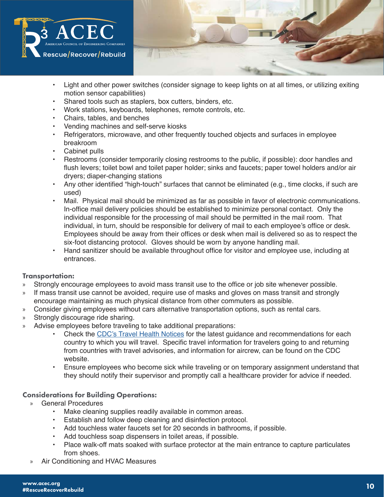

- Light and other power switches (consider signage to keep lights on at all times, or utilizing exiting motion sensor capabilities)
- Shared tools such as staplers, box cutters, binders, etc.
- Work stations, keyboards, telephones, remote controls, etc.
- Chairs, tables, and benches
- Vending machines and self-serve kiosks
- Refrigerators, microwave, and other frequently touched objects and surfaces in employee breakroom
- Cabinet pulls
- Restrooms (consider temporarily closing restrooms to the public, if possible): door handles and flush levers; toilet bowl and toilet paper holder; sinks and faucets; paper towel holders and/or air dryers; diaper-changing stations
- Any other identified "high-touch" surfaces that cannot be eliminated (e.g., time clocks, if such are used)
- Mail. Physical mail should be minimized as far as possible in favor of electronic communications. In-office mail delivery policies should be established to minimize personal contact. Only the individual responsible for the processing of mail should be permitted in the mail room. That individual, in turn, should be responsible for delivery of mail to each employee's office or desk. Employees should be away from their offices or desk when mail is delivered so as to respect the six-foot distancing protocol. Gloves should be worn by anyone handling mail.
- Hand sanitizer should be available throughout office for visitor and employee use, including at entrances.

### Transportation:

- » Strongly encourage employees to avoid mass transit use to the office or job site whenever possible.
- » If mass transit use cannot be avoided, require use of masks and gloves on mass transit and strongly encourage maintaining as much physical distance from other commuters as possible.
- » Consider giving employees without cars alternative transportation options, such as rental cars.
- » Strongly discourage ride sharing.
- » Advise employees before traveling to take additional preparations:
	- Check the CDC's Travel Health Notices for the latest guidance and recommendations for each country to which you will travel. Specific travel information for travelers going to and returning from countries with travel advisories, and information for aircrew, can be found on the CDC website.
	- Ensure employees who become sick while traveling or on temporary assignment understand that they should notify their supervisor and promptly call a healthcare provider for advice if needed.

### Considerations for Building Operations:

- » General Procedures
	- Make cleaning supplies readily available in common areas.
	- Establish and follow deep cleaning and disinfection protocol.
	- Add touchless water faucets set for 20 seconds in bathrooms, if possible.
	- Add touchless soap dispensers in toilet areas, if possible.
	- Place walk-off mats soaked with surface protector at the main entrance to capture particulates from shoes.
- » Air Conditioning and HVAC Measures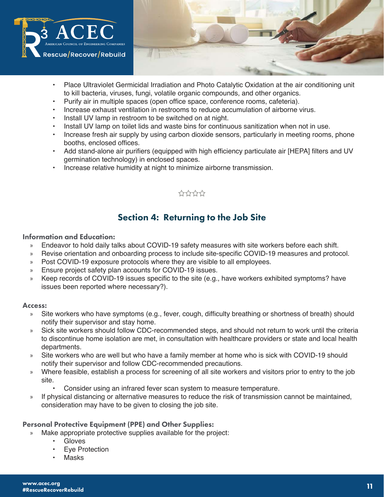

- Place Ultraviolet Germicidal Irradiation and Photo Catalytic Oxidation at the air conditioning unit to kill bacteria, viruses, fungi, volatile organic compounds, and other organics.
- Purify air in multiple spaces (open office space, conference rooms, cafeteria).
- Increase exhaust ventilation in restrooms to reduce accumulation of airborne virus.
- Install UV lamp in restroom to be switched on at night.
- Install UV lamp on toilet lids and waste bins for continuous sanitization when not in use.
- Increase fresh air supply by using carbon dioxide sensors, particularly in meeting rooms, phone booths, enclosed offices.
- Add stand-alone air purifiers (equipped with high efficiency particulate air [HEPA] filters and UV germination technology) in enclosed spaces.
- Increase relative humidity at night to minimize airborne transmission.

# \*\*\*\*\*\*

# Section 4: Returning to the Job Site

### Information and Education:

- » Endeavor to hold daily talks about COVID-19 safety measures with site workers before each shift.
- » Revise orientation and onboarding process to include site-specific COVID-19 measures and protocol.
- » Post COVID-19 exposure protocols where they are visible to all employees.
- » Ensure project safety plan accounts for COVID-19 issues.
- » Keep records of COVID-19 issues specific to the site (e.g., have workers exhibited symptoms? have issues been reported where necessary?).

### Access:

- » Site workers who have symptoms (e.g., fever, cough, difficulty breathing or shortness of breath) should notify their supervisor and stay home.
- » Sick site workers should follow CDC-recommended steps, and should not return to work until the criteria to discontinue home isolation are met, in consultation with healthcare providers or state and local health departments.
- » Site workers who are well but who have a family member at home who is sick with COVID-19 should notify their supervisor and follow CDC-recommended precautions.
- » Where feasible, establish a process for screening of all site workers and visitors prior to entry to the job site.
	- Consider using an infrared fever scan system to measure temperature.
- » If physical distancing or alternative measures to reduce the risk of transmission cannot be maintained, consideration may have to be given to closing the job site.

### Personal Protective Equipment (PPE) and Other Supplies:

- » Make appropriate protective supplies available for the project:
	- Gloves
	- **Eve Protection**
	- Masks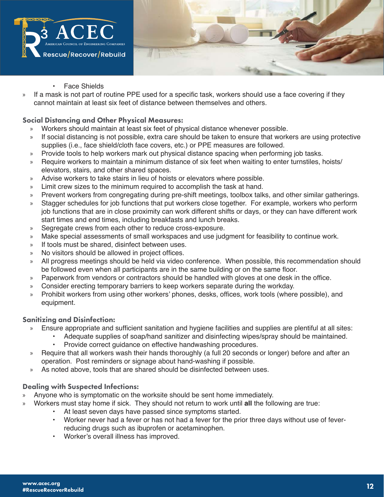



- **Face Shields**
- » If a mask is not part of routine PPE used for a specific task, workers should use a face covering if they cannot maintain at least six feet of distance between themselves and others.

### Social Distancing and Other Physical Measures:

- » Workers should maintain at least six feet of physical distance whenever possible.
- » If social distancing is not possible, extra care should be taken to ensure that workers are using protective supplies (i.e., face shield/cloth face covers, etc.) or PPE measures are followed.
- » Provide tools to help workers mark out physical distance spacing when performing job tasks.
- » Require workers to maintain a minimum distance of six feet when waiting to enter turnstiles, hoists/ elevators, stairs, and other shared spaces.
- » Advise workers to take stairs in lieu of hoists or elevators where possible.
- » Limit crew sizes to the minimum required to accomplish the task at hand.
- » Prevent workers from congregating during pre-shift meetings, toolbox talks, and other similar gatherings.
- » Stagger schedules for job functions that put workers close together. For example, workers who perform job functions that are in close proximity can work different shifts or days, or they can have different work start times and end times, including breakfasts and lunch breaks.
- » Segregate crews from each other to reduce cross-exposure.
- » Make special assessments of small workspaces and use judgment for feasibility to continue work.
- » If tools must be shared, disinfect between uses.
- » No visitors should be allowed in project offices.
- » All progress meetings should be held via video conference. When possible, this recommendation should be followed even when all participants are in the same building or on the same floor.
- » Paperwork from vendors or contractors should be handled with gloves at one desk in the office.
- » Consider erecting temporary barriers to keep workers separate during the workday.
- » Prohibit workers from using other workers' phones, desks, offices, work tools (where possible), and equipment.

### Sanitizing and Disinfection:

- » Ensure appropriate and sufficient sanitation and hygiene facilities and supplies are plentiful at all sites:
	- Adequate supplies of soap/hand sanitizer and disinfecting wipes/spray should be maintained.
		- Provide correct guidance on effective handwashing procedures.
- » Require that all workers wash their hands thoroughly (a full 20 seconds or longer) before and after an operation. Post reminders or signage about hand-washing if possible.
- » As noted above, tools that are shared should be disinfected between uses.

### Dealing with Suspected Infections:

- » Anyone who is symptomatic on the worksite should be sent home immediately.
- » Workers must stay home if sick. They should not return to work until **all** the following are true:
	- At least seven days have passed since symptoms started.
	- Worker never had a fever or has not had a fever for the prior three days without use of feverreducing drugs such as ibuprofen or acetaminophen.
	- Worker's overall illness has improved.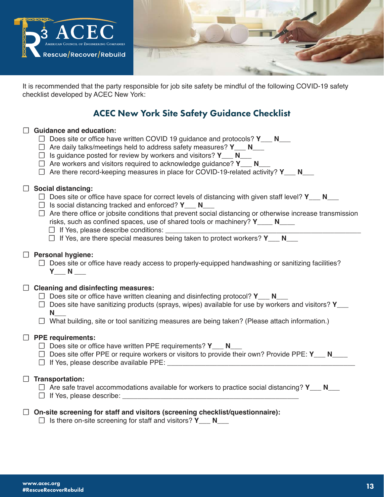

It is recommended that the party responsible for job site safety be mindful of the following COVID-19 safety checklist developed by ACEC New York:

# ACEC New York Site Safety Guidance Checklist

# ☐ **Guidance and education:**

- ☐ Does site or office have written COVID 19 guidance and protocols? **Y\_\_\_ N\_\_\_**
- ☐ Are daily talks/meetings held to address safety measures? **Y\_\_\_ N\_\_\_**
- ☐ Is guidance posted for review by workers and visitors? **Y\_\_\_ N\_\_\_**
- ☐ Are workers and visitors required to acknowledge guidance? **Y\_\_\_ N\_\_\_**
- □ Are there record-keeping measures in place for COVID-19-related activity? **Y** N

### ☐ **Social distancing:**

- □ Does site or office have space for correct levels of distancing with given staff level? **Y** N
- ☐ Is social distancing tracked and enforced? **Y\_\_\_ N\_\_\_**
- $\Box$  Are there office or jobsite conditions that prevent social distancing or otherwise increase transmission risks, such as confined spaces, use of shared tools or machinery? **Y\_\_\_\_ N\_\_\_\_**
	- □ If Yes, please describe conditions:
	- ☐ If Yes, are there special measures being taken to protect workers? **Y\_\_\_ N\_\_\_**

### ☐ **Personal hygiene:**

 $\Box$  Does site or office have ready access to properly-equipped handwashing or sanitizing facilities? **Y\_\_\_ N \_\_\_**

### ☐ **Cleaning and disinfecting measures:**

- □ Does site or office have written cleaning and disinfecting protocol? **Y** N
- ☐ Does site have sanitizing products (sprays, wipes) available for use by workers and visitors? **Y\_\_\_ N\_\_\_**
- $\Box$  What building, site or tool sanitizing measures are being taken? (Please attach information.)

### ☐ **PPE requirements:**

- ☐ Does site or office have written PPE requirements? **Y\_\_\_ N\_\_\_**
- □ Does site offer PPE or require workers or visitors to provide their own? Provide PPE: Y N
- □ If Yes, please describe available PPE:

### ☐ **Transportation:**

| $\Box$ Are safe travel accommodations available for workers to practice social distancing? Y___ N___ |  |
|------------------------------------------------------------------------------------------------------|--|
| $\Box$ If Yes, please describe:                                                                      |  |

### ☐ **On-site screening for staff and visitors (screening checklist/questionnaire):**

☐ Is there on-site screening for staff and visitors? **Y\_\_\_ N\_\_\_**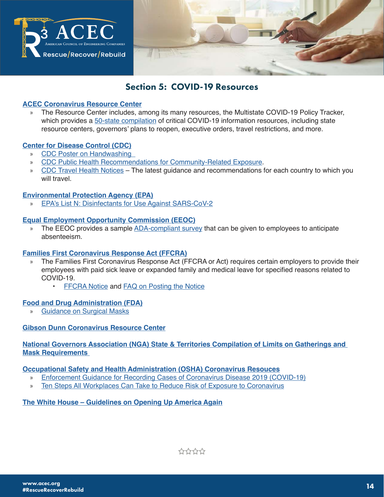

# Section 5: COVID-19 Resources

### **ACEC Coronavirus Resource Center**

» The Resource Center includes, among its many resources, the Multistate COVID-19 Policy Tracker, which provides a 50-state compilation of critical COVID-19 information resources, including state resource centers, governors' plans to reopen, executive orders, travel restrictions, and more.

#### **Center for Disease Control (CDC)**

- » CDC Poster on Handwashing
- » CDC Public Health Recommendations for Community-Related Exposure.
- » CDC Travel Health Notices The latest guidance and recommendations for each country to which you will travel.

### **Environmental Protection Agency (EPA)**

EPA's List N: Disinfectants for Use Against SARS-CoV-2

#### **Equal Employment Opportunity Commission (EEOC)**

» The EEOC provides a sample ADA-compliant survey that can be given to employees to anticipate absenteeism.

### **Families First Coronavirus Response Act (FFCRA)**

- » The Families First Coronavirus Response Act (FFCRA or Act) requires certain employers to provide their employees with paid sick leave or expanded family and medical leave for specified reasons related to COVID-19.
	- FFCRA Notice and FAQ on Posting the Notice

### **Food and Drug Administration (FDA)**

» Guidance on Surgical Masks

### **Gibson Dunn Coronavirus Resource Center**

### **National Governors Association (NGA) State & Territories Compilation of Limits on Gatherings and Mask Requirements**

#### **Occupational Safety and Health Administration (OSHA) Coronavirus Resouces**

- » Enforcement Guidance for Recording Cases of Coronavirus Disease 2019 (COVID-19)
- » Ten Steps All Workplaces Can Take to Reduce Risk of Exposure to Coronavirus

### **The White House – Guidelines on Opening Up America Again**